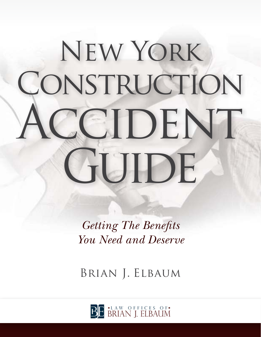# New York CONSTRUCTION CCIDENT GUIDE

*Getting The Benefits You Need and Deserve*

Brian J. Elbaum

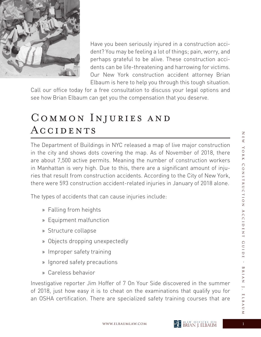

Have you been seriously injured in a construction accident? You may be feeling a lot of things; pain, worry, and perhaps grateful to be alive. These construction accidents can be life-threatening and harrowing for victims. Our New York construction accident attorney Brian Elbaum is here to help you through this tough situation.

Call our office today for a free consultation to discuss your legal options and see how Brian Elbaum can get you the compensation that you deserve.

# Common Injuries and ACCIDENTS

The Department of Buildings in NYC released a map of live major construction in the city and shows dots covering the map. As of November of 2018, there are about 7,500 active permits. Meaning the number of construction workers in Manhattan is very high. Due to this, there are a significant amount of injuries that result from construction accidents. According to the City of New York, there were 593 construction accident-related injuries in January of 2018 alone.

The types of accidents that can cause injuries include:

- » Falling from heights
- » Equipment malfunction
- » Structure collapse
- » Objects dropping unexpectedly
- » Improper safety training
- » Ignored safety precautions
- » Careless behavior

Investigative reporter Jim Hoffer of 7 On Your Side discovered in the summer of 2018, just how easy it is to cheat on the examinations that qualify you for an OSHA certification. There are specialized safety training courses that are

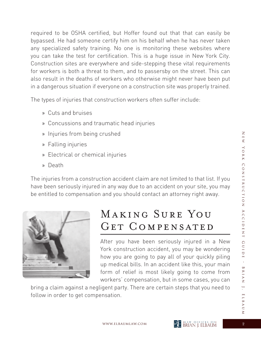required to be OSHA certified, but Hoffer found out that that can easily be bypassed. He had someone certify him on his behalf when he has never taken any specialized safety training. No one is monitoring these websites where you can take the test for certification. This is a huge issue in New York City. Construction sites are everywhere and side-stepping these vital requirements for workers is both a threat to them, and to passersby on the street. This can also result in the deaths of workers who otherwise might never have been put in a dangerous situation if everyone on a construction site was properly trained.

The types of injuries that construction workers often suffer include:

- » Cuts and bruises
- » Concussions and traumatic head injuries
- » Injuries from being crushed
- » Falling injuries
- » Electrical or chemical injuries
- » Death

The injuries from a construction accident claim are not limited to that list. If you have been seriously injured in any way due to an accident on your site, you may be entitled to compensation and you should contact an attorney right away.



# Making Sure You GET COMPENSATED

After you have been seriously injured in a New York construction accident, you may be wondering how you are going to pay all of your quickly piling up medical bills. In an accident like this, your main form of relief is most likely going to come from workers' compensation, but in some cases, you can

bring a claim against a negligent party. There are certain steps that you need to follow in order to get compensation.

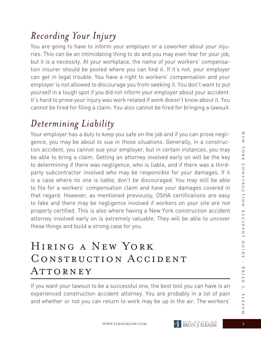#### *Recording Your Injury*

You are going to have to inform your employer or a coworker about your injuries. This can be an intimidating thing to do and you may even fear for your job, but it is a necessity. At your workplace, the name of your workers' compensation insurer should be posted where you can find it. If it's not, your employer can get in legal trouble. You have a right to workers' compensation and your employer is not allowed to discourage you from seeking it. You don't want to put yourself in a tough spot if you did not inform your employer about your accident. It's hard to prove your injury was work related if work doesn't know about it. You cannot be fired for filing a claim. You also cannot be fired for bringing a lawsuit.

# *Determining Liability*

Your employer has a duty to keep you safe on the job and if you can prove negligence, you may be about to sue in those situations. Generally, in a construction accident, you cannot sue your employer, but in certain instances, you may be able to bring a claim. Getting an attorney involved early on will be the key to determining if there was negligence, who is liable, and if there was a thirdparty subcontractor involved who may be responsible for your damages. If it is a case where no one is liable, don't be discouraged. You may still be able to file for a workers' compensation claim and have your damages covered in that regard. However, as mentioned previously, OSHA certifications are easy to fake and there may be negligence involved if workers on your site are not properly certified. This is also where having a New York construction accident attorney involved early on is extremely valuable. They will be able to uncover these things and build a strong case for you.

# Hiring a New York CONSTRUCTION ACCIDENT ATTORNEY

If you want your lawsuit to be a successful one, the best tool you can have is an experienced construction accident attorney. You are probably in a lot of pain and whether or not you can return to work may be up in the air. The workers'

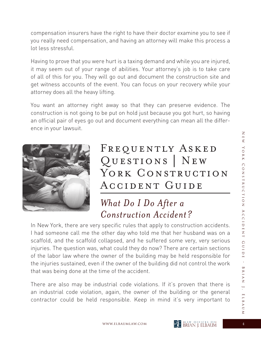compensation insurers have the right to have their doctor examine you to see if you really need compensation, and having an attorney will make this process a lot less stressful.

Having to prove that you were hurt is a taxing demand and while you are injured, it may seem out of your range of abilities. Your attorney's job is to take care of all of this for you. They will go out and document the construction site and get witness accounts of the event. You can focus on your recovery while your attorney does all the heavy lifting.

You want an attorney right away so that they can preserve evidence. The construction is not going to be put on hold just because you got hurt, so having an official pair of eyes go out and document everything can mean all the difference in your lawsuit.



# FREQUENTLY ASKED Questions | New YORK CONSTRUCTION Accident Guide

#### *What Do I Do After a Construction Accident?*

In New York, there are very specific rules that apply to construction accidents. I had someone call me the other day who told me that her husband was on a scaffold, and the scaffold collapsed, and he suffered some very, very serious injuries. The question was, what could they do now? There are certain sections of the labor law where the owner of the building may be held responsible for the injuries sustained, even if the owner of the building did not control the work that was being done at the time of the accident.

There are also may be industrial code violations. If it's proven that there is an industrial code violation, again, the owner of the building or the general contractor could be held responsible. Keep in mind it's very important to



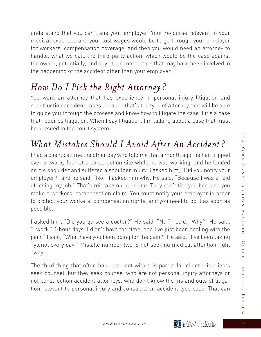understand that you can't sue your employer. Your recourse relevant to your medical expenses and your lost wages would be to go through your employer for workers' compensation coverage, and then you would need an attorney to handle, what we call, the third-party action, which would be the case against the owner, potentially, and any other contractors that may have been involved in the happening of the accident other than your employer.

# *How Do I Pick the Right Attorney?*

You want an attorney that has experience in personal injury litigation and construction accident cases because that's the type of attorney that will be able to guide you through the process and know how to litigate the case if it's a case that requires litigation. When I say litigation, I'm talking about a case that must be pursued in the court system.

# *What Mistakes Should I Avoid After An Accident?*

I had a client call me the other day who told me that a month ago, he had tripped over a two by four at a construction site while he was working, and he landed on his shoulder and suffered a shoulder injury. I asked him, "Did you notify your employer?" and he said, "No." I asked him why. He said, "Because I was afraid of losing my job." That's mistake number one. They can't fire you because you make a workers' compensation claim. You must notify your employer in order to protect your workers' compensation rights, and you need to do it as soon as possible.

I asked him, "Did you go see a doctor?" He said, "No." I said, "Why?" He said, "I work 10-hour days. I didn't have the time, and I've just been dealing with the pain." I said, "What have you been doing for the pain?" He said, "I've been taking Tylenol every day." Mistake number two is not seeking medical attention right away.

The third thing that often happens –not with this particular client – is clients seek counsel, but they seek counsel who are not personal injury attorneys or not construction accident attorneys, who don't know the ins and outs of litigation relevant to personal injury and construction accident type case. That can

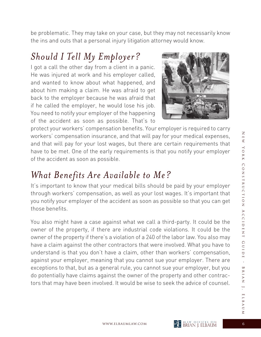be problematic. They may take on your case, but they may not necessarily know the ins and outs that a personal injury litigation attorney would know.

#### *Should I Tell My Employer?*

I got a call the other day from a client in a panic. He was injured at work and his employer called, and wanted to know about what happened, and about him making a claim. He was afraid to get back to the employer because he was afraid that if he called the employer, he would lose his job. You need to notify your employer of the happening of the accident as soon as possible. That's to



protect your workers' compensation benefits. Your employer is required to carry workers' compensation insurance, and that will pay for your medical expenses, and that will pay for your lost wages, but there are certain requirements that have to be met. One of the early requirements is that you notify your employer of the accident as soon as possible.

#### *What Benefits Are Available to Me?*

It's important to know that your medical bills should be paid by your employer through workers' compensation, as well as your lost wages. It's important that you notify your employer of the accident as soon as possible so that you can get those benefits.

You also might have a case against what we call a third-party. It could be the owner of the property, if there are industrial code violations. It could be the owner of the property if there's a violation of a 240 of the labor law. You also may have a claim against the other contractors that were involved. What you have to understand is that you don't have a claim, other than workers' compensation, against your employer, meaning that you cannot sue your employer. There are exceptions to that, but as a general rule, you cannot sue your employer, but you do potentially have claims against the owner of the property and other contractors that may have been involved. It would be wise to seek the advice of counsel.

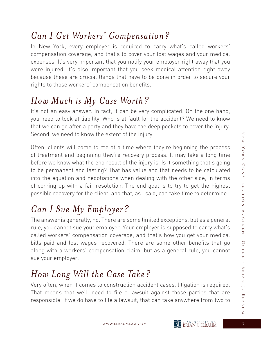#### *Can I Get Workers' Compensation?*

In New York, every employer is required to carry what's called workers' compensation coverage, and that's to cover your lost wages and your medical expenses. It's very important that you notify your employer right away that you were injured. It's also important that you seek medical attention right away because these are crucial things that have to be done in order to secure your rights to those workers' compensation benefits.

#### *How Much is My Case Worth?*

It's not an easy answer. In fact, it can be very complicated. On the one hand, you need to look at liability. Who is at fault for the accident? We need to know that we can go after a party and they have the deep pockets to cover the injury. Second, we need to know the extent of the injury.

Often, clients will come to me at a time where they're beginning the process of treatment and beginning they're recovery process. It may take a long time before we know what the end result of the injury is. Is it something that's going to be permanent and lasting? That has value and that needs to be calculated into the equation and negotiations when dealing with the other side, in terms of coming up with a fair resolution. The end goal is to try to get the highest possible recovery for the client, and that, as I said, can take time to determine.

# *Can I Sue My Employer?*

The answer is generally, no. There are some limited exceptions, but as a general rule, you cannot sue your employer. Your employer is supposed to carry what's called workers' compensation coverage, and that's how you get your medical bills paid and lost wages recovered. There are some other benefits that go along with a workers' compensation claim, but as a general rule, you cannot sue your employer.

# *How Long Will the Case Take?*

Very often, when it comes to construction accident cases, litigation is required. That means that we'll need to file a lawsuit against those parties that are responsible. If we do have to file a lawsuit, that can take anywhere from two to

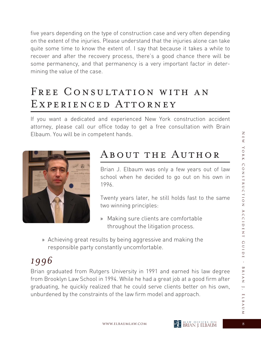five years depending on the type of construction case and very often depending on the extent of the injuries. Please understand that the injuries alone can take quite some time to know the extent of. I say that because it takes a while to recover and after the recovery process, there's a good chance there will be some permanency, and that permanency is a very important factor in determining the value of the case.

# FREE CONSULTATION WITH AN EXPERIENCED ATTORNEY

If you want a dedicated and experienced New York construction accident attorney, please call our office today to get a free consultation with Brain Elbaum. You will be in competent hands.



# About the Author

Brian J. Elbaum was only a few years out of law school when he decided to go out on his own in 1996.

 Twenty years later, he still holds fast to the same two winning principles:

- » Making sure clients are comfortable throughout the litigation process.
- » Achieving great results by being aggressive and making the responsible party constantly uncomfortable.

#### *1996*

Brian graduated from Rutgers University in 1991 and earned his law degree from Brooklyn Law School in 1994. While he had a great job at a good firm after graduating, he quickly realized that he could serve clients better on his own, unburdened by the constraints of the law firm model and approach.

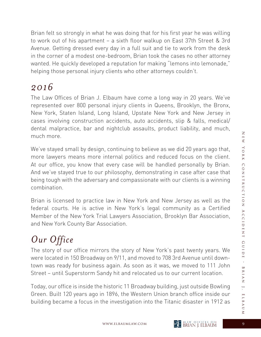Brian felt so strongly in what he was doing that for his first year he was willing to work out of his apartment – a sixth floor walkup on East 37th Street & 3rd Avenue. Getting dressed every day in a full suit and tie to work from the desk in the corner of a modest one-bedroom, Brian took the cases no other attorney wanted. He quickly developed a reputation for making "lemons into lemonade," helping those personal injury clients who other attorneys couldn't.

#### *2016*

The Law Offices of Brian J. Elbaum have come a long way in 20 years. We've represented over 800 personal injury clients in Queens, Brooklyn, the Bronx, New York, Staten Island, Long Island, Upstate New York and New Jersey in cases involving construction accidents, auto accidents, slip & falls, medical/ dental malpractice, bar and nightclub assaults, product liability, and much, much more.

We've stayed small by design, continuing to believe as we did 20 years ago that, more lawyers means more internal politics and reduced focus on the client. At our office, you know that every case will be handled personally by Brian. And we've stayed true to our philosophy, demonstrating in case after case that being tough with the adversary and compassionate with our clients is a winning combination.

Brian is licensed to practice law in New York and New Jersey as well as the federal courts. He is active in New York's legal community as a Certified Member of the New York Trial Lawyers Association, Brooklyn Bar Association, and New York County Bar Association.

# *Our Office*

The story of our office mirrors the story of New York's past twenty years. We were located in 150 Broadway on 9/11, and moved to 708 3rd Avenue until downtown was ready for business again. As soon as it was, we moved to 111 John Street – until Superstorm Sandy hit and relocated us to our current location.

Today, our office is inside the historic 11 Broadway building, just outside Bowling Green. Built 120 years ago in 1896, the Western Union branch office inside our building became a focus in the investigation into the Titanic disaster in 1912 as

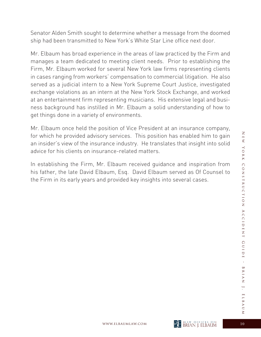Senator Alden Smith sought to determine whether a message from the doomed ship had been transmitted to New York's White Star Line office next door.

Mr. Elbaum has broad experience in the areas of law practiced by the Firm and manages a team dedicated to meeting client needs. Prior to establishing the Firm, Mr. Elbaum worked for several New York law firms representing clients in cases ranging from workers' compensation to commercial litigation. He also served as a judicial intern to a New York Supreme Court Justice, investigated exchange violations as an intern at the New York Stock Exchange, and worked at an entertainment firm representing musicians. His extensive legal and business background has instilled in Mr. Elbaum a solid understanding of how to get things done in a variety of environments.

Mr. Elbaum once held the position of Vice President at an insurance company, for which he provided advisory services. This position has enabled him to gain an insider's view of the insurance industry. He translates that insight into solid advice for his clients on insurance-related matters.

In establishing the Firm, Mr. Elbaum received guidance and inspiration from his father, the late David Elbaum, Esq. David Elbaum served as Of Counsel to the Firm in its early years and provided key insights into several cases.